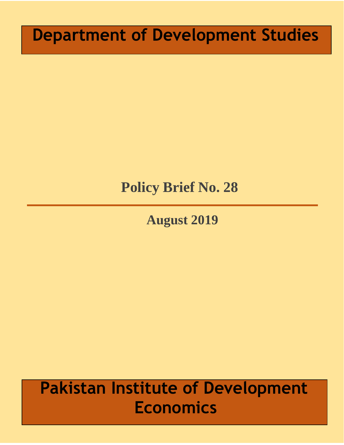# **Department of Development Studies**

# **Policy Brief No. 28**

**August 2019**

# **Pakistan Institute of Development Economics**